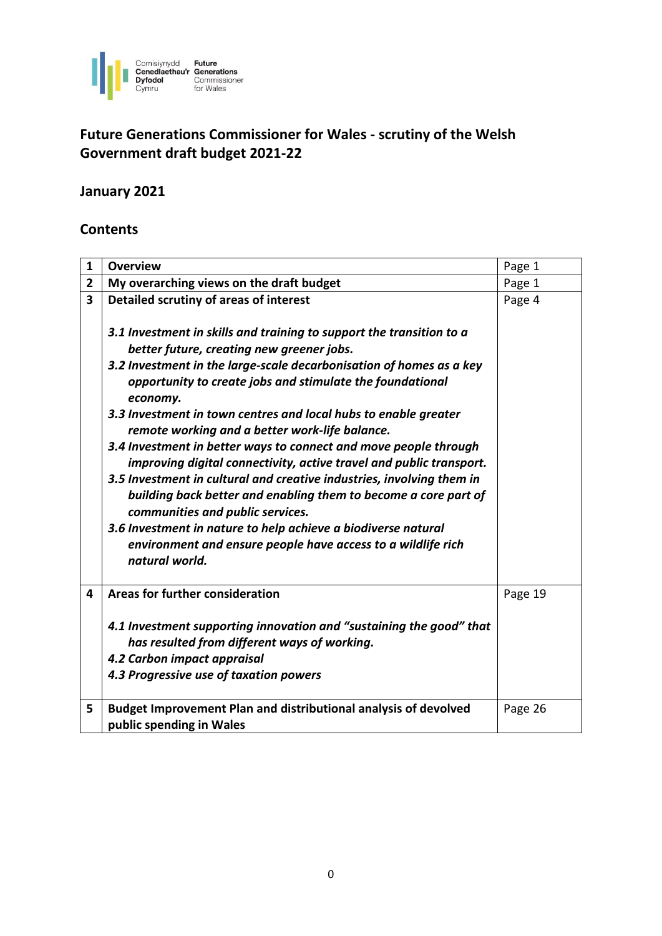

# **Future Generations Commissioner for Wales - scrutiny of the Welsh Government draft budget 2021-22**

# **January 2021**

# **Contents**

| 1              | <b>Overview</b>                                                                                                                                                                              | Page 1  |
|----------------|----------------------------------------------------------------------------------------------------------------------------------------------------------------------------------------------|---------|
| $\overline{2}$ | My overarching views on the draft budget                                                                                                                                                     | Page 1  |
| 3              | Detailed scrutiny of areas of interest                                                                                                                                                       | Page 4  |
|                | 3.1 Investment in skills and training to support the transition to a                                                                                                                         |         |
|                | better future, creating new greener jobs.                                                                                                                                                    |         |
|                | 3.2 Investment in the large-scale decarbonisation of homes as a key<br>opportunity to create jobs and stimulate the foundational<br>economy.                                                 |         |
|                | 3.3 Investment in town centres and local hubs to enable greater<br>remote working and a better work-life balance.                                                                            |         |
|                | 3.4 Investment in better ways to connect and move people through<br>improving digital connectivity, active travel and public transport.                                                      |         |
|                | 3.5 Investment in cultural and creative industries, involving them in<br>building back better and enabling them to become a core part of<br>communities and public services.                 |         |
|                | 3.6 Investment in nature to help achieve a biodiverse natural<br>environment and ensure people have access to a wildlife rich<br>natural world.                                              |         |
| 4              | Areas for further consideration                                                                                                                                                              | Page 19 |
|                | 4.1 Investment supporting innovation and "sustaining the good" that<br>has resulted from different ways of working.<br>4.2 Carbon impact appraisal<br>4.3 Progressive use of taxation powers |         |
| 5              | Budget Improvement Plan and distributional analysis of devolved<br>public spending in Wales                                                                                                  | Page 26 |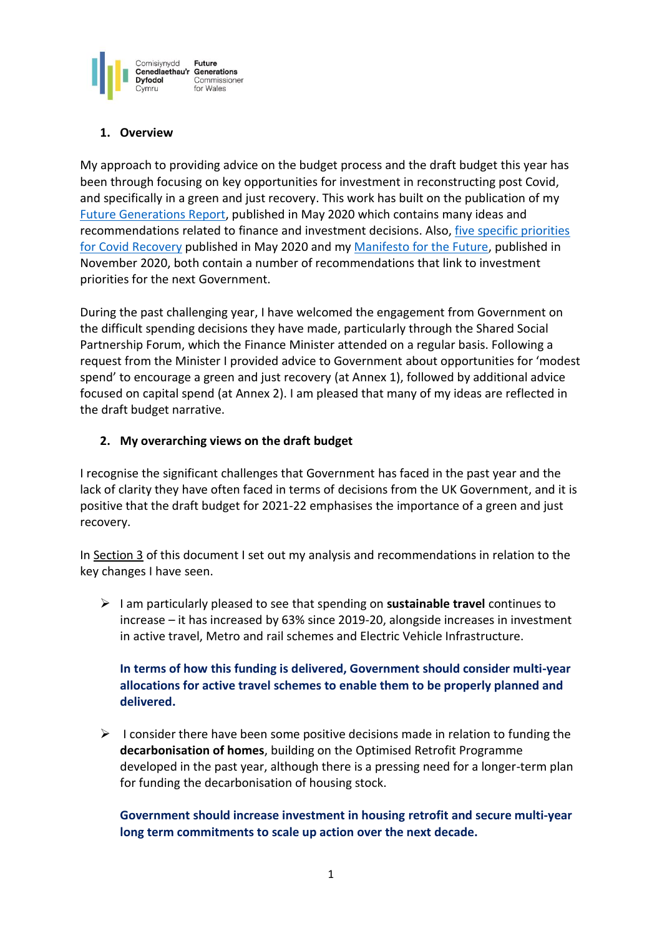

# **1. Overview**

My approach to providing advice on the budget process and the draft budget this year has been through focusing on key opportunities for investment in reconstructing post Covid, and specifically in a green and just recovery. This work has built on the publication of my [Future Generations Report,](https://www.futuregenerations2020.wales/) published in May 2020 which contains many ideas and recommendations related to finance and investment decisions. Also, [five specific priorities](https://www.futuregenerations.wales/resources_posts/welsh-government-budget-must-signal-a-change-in-direction-to-reset-our-economy/)  for Covid [Recovery](https://www.futuregenerations.wales/resources_posts/welsh-government-budget-must-signal-a-change-in-direction-to-reset-our-economy/) published in May 2020 and my [Manifesto for the Future,](https://www.futuregenerations.wales/manifesto-for-the-future/) published in November 2020, both contain a number of recommendations that link to investment priorities for the next Government.

During the past challenging year, I have welcomed the engagement from Government on the difficult spending decisions they have made, particularly through the Shared Social Partnership Forum, which the Finance Minister attended on a regular basis. Following a request from the Minister I provided advice to Government about opportunities for 'modest spend' to encourage a green and just recovery (at Annex 1), followed by additional advice focused on capital spend (at Annex 2). I am pleased that many of my ideas are reflected in the draft budget narrative.

## **2. My overarching views on the draft budget**

I recognise the significant challenges that Government has faced in the past year and the lack of clarity they have often faced in terms of decisions from the UK Government, and it is positive that the draft budget for 2021-22 emphasises the importance of a green and just recovery.

In Section 3 of this document I set out my analysis and recommendations in relation to the key changes I have seen.

➢ I am particularly pleased to see that spending on **sustainable travel** continues to increase – it has increased by 63% since 2019-20, alongside increases in investment in active travel, Metro and rail schemes and Electric Vehicle Infrastructure.

# **In terms of how this funding is delivered, Government should consider multi-year allocations for active travel schemes to enable them to be properly planned and delivered.**

 $\triangleright$  I consider there have been some positive decisions made in relation to funding the **decarbonisation of homes**, building on the Optimised Retrofit Programme developed in the past year, although there is a pressing need for a longer-term plan for funding the decarbonisation of housing stock.

# **Government should increase investment in housing retrofit and secure multi-year long term commitments to scale up action over the next decade.**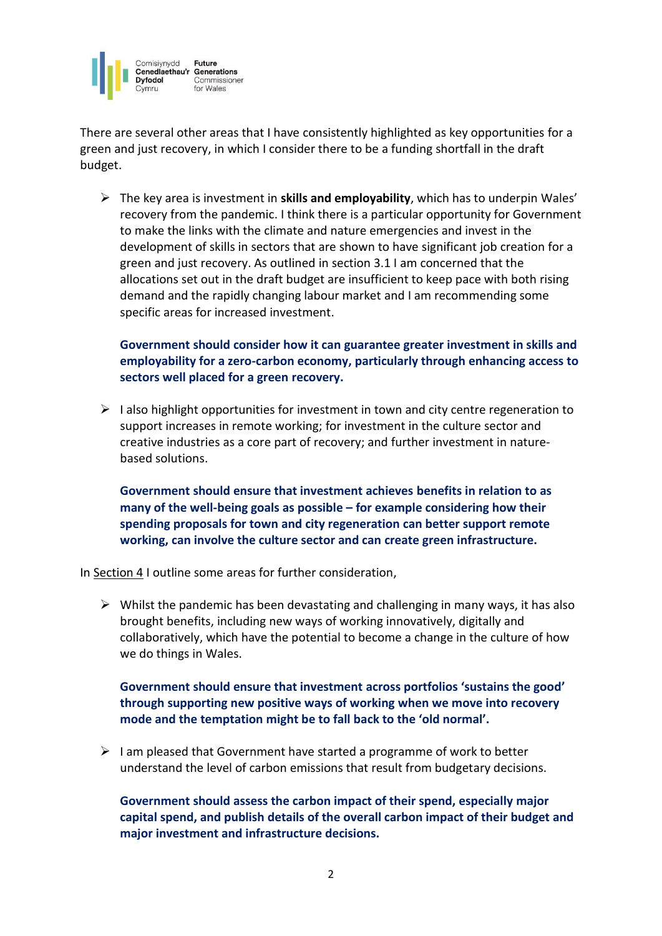

There are several other areas that I have consistently highlighted as key opportunities for a green and just recovery, in which I consider there to be a funding shortfall in the draft budget.

➢ The key area is investment in **skills and employability**, which has to underpin Wales' recovery from the pandemic. I think there is a particular opportunity for Government to make the links with the climate and nature emergencies and invest in the development of skills in sectors that are shown to have significant job creation for a green and just recovery. As outlined in section 3.1 I am concerned that the allocations set out in the draft budget are insufficient to keep pace with both rising demand and the rapidly changing labour market and I am recommending some specific areas for increased investment.

**Government should consider how it can guarantee greater investment in skills and employability for a zero-carbon economy, particularly through enhancing access to sectors well placed for a green recovery.** 

 $\triangleright$  I also highlight opportunities for investment in town and city centre regeneration to support increases in remote working; for investment in the culture sector and creative industries as a core part of recovery; and further investment in naturebased solutions.

**Government should ensure that investment achieves benefits in relation to as many of the well-being goals as possible – for example considering how their spending proposals for town and city regeneration can better support remote working, can involve the culture sector and can create green infrastructure.** 

In Section 4 I outline some areas for further consideration,

 $\triangleright$  Whilst the pandemic has been devastating and challenging in many ways, it has also brought benefits, including new ways of working innovatively, digitally and collaboratively, which have the potential to become a change in the culture of how we do things in Wales.

**Government should ensure that investment across portfolios 'sustains the good' through supporting new positive ways of working when we move into recovery mode and the temptation might be to fall back to the 'old normal'.**

 $\triangleright$  I am pleased that Government have started a programme of work to better understand the level of carbon emissions that result from budgetary decisions.

**Government should assess the carbon impact of their spend, especially major capital spend, and publish details of the overall carbon impact of their budget and major investment and infrastructure decisions.**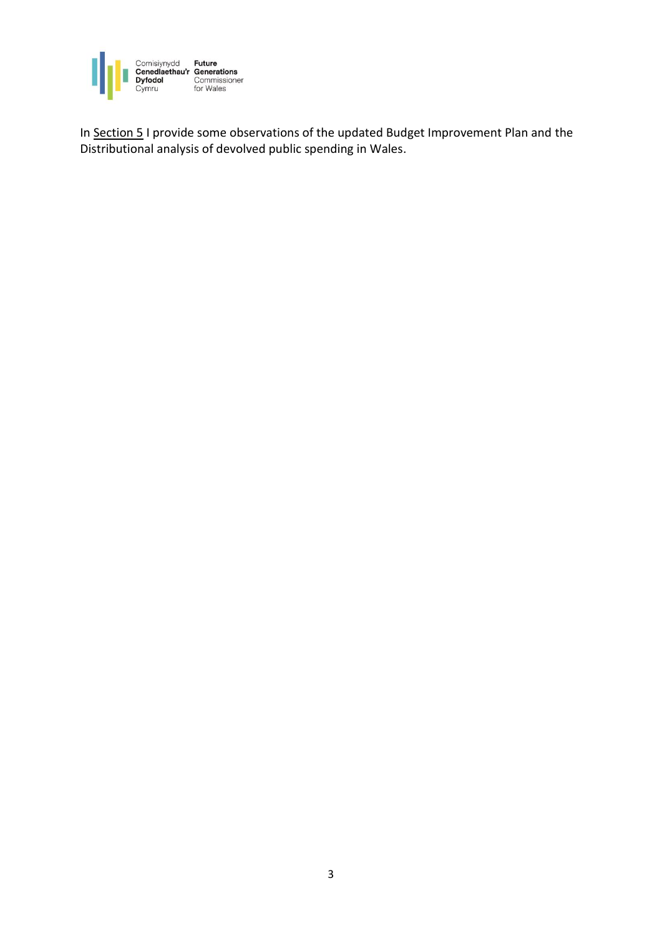

In Section 5 I provide some observations of the updated Budget Improvement Plan and the Distributional analysis of devolved public spending in Wales.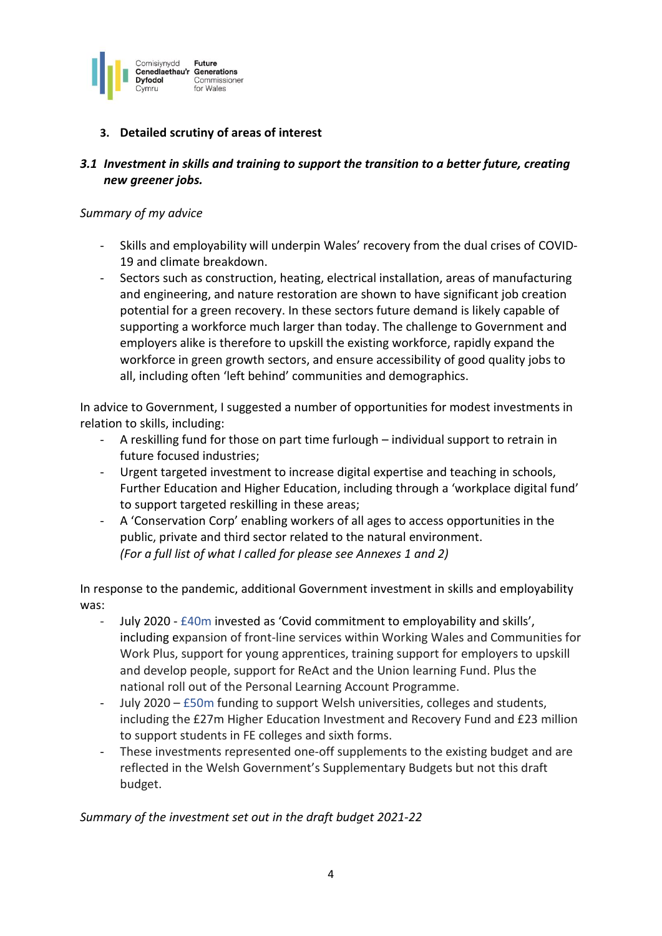

# **3. Detailed scrutiny of areas of interest**

# *3.1 Investment in skills and training to support the transition to a better future, creating new greener jobs.*

#### *Summary of my advice*

- Skills and employability will underpin Wales' recovery from the dual crises of COVID-19 and climate breakdown.
- Sectors such as construction, heating, electrical installation, areas of manufacturing and engineering, and nature restoration are shown to have significant job creation potential for a green recovery. In these sectors future demand is likely capable of supporting a workforce much larger than today. The challenge to Government and employers alike is therefore to upskill the existing workforce, rapidly expand the workforce in green growth sectors, and ensure accessibility of good quality jobs to all, including often 'left behind' communities and demographics.

In advice to Government, I suggested a number of opportunities for modest investments in relation to skills, including:

- A reskilling fund for those on part time furlough individual support to retrain in future focused industries;
- Urgent targeted investment to increase digital expertise and teaching in schools, Further Education and Higher Education, including through a 'workplace digital fund' to support targeted reskilling in these areas;
- A 'Conservation Corp' enabling workers of all ages to access opportunities in the public, private and third sector related to the natural environment. *(For a full list of what I called for please see Annexes 1 and 2)*

In response to the pandemic, additional Government investment in skills and employability was:

- July 2020 £40m invested as 'Covid commitment to employability and skills', including expansion of front-line services within Working Wales and Communities for Work Plus, support for young apprentices, training support for employers to upskill and develop people, support for ReAct and the Union learning Fund. Plus the national roll out of the Personal Learning Account Programme.
- July 2020 £50m funding to support Welsh universities, colleges and students, including the £27m Higher Education Investment and Recovery Fund and £23 million to support students in FE colleges and sixth forms.
- These investments represented one-off supplements to the existing budget and are reflected in the Welsh Government's Supplementary Budgets but not this draft budget.

*Summary of the investment set out in the draft budget 2021-22*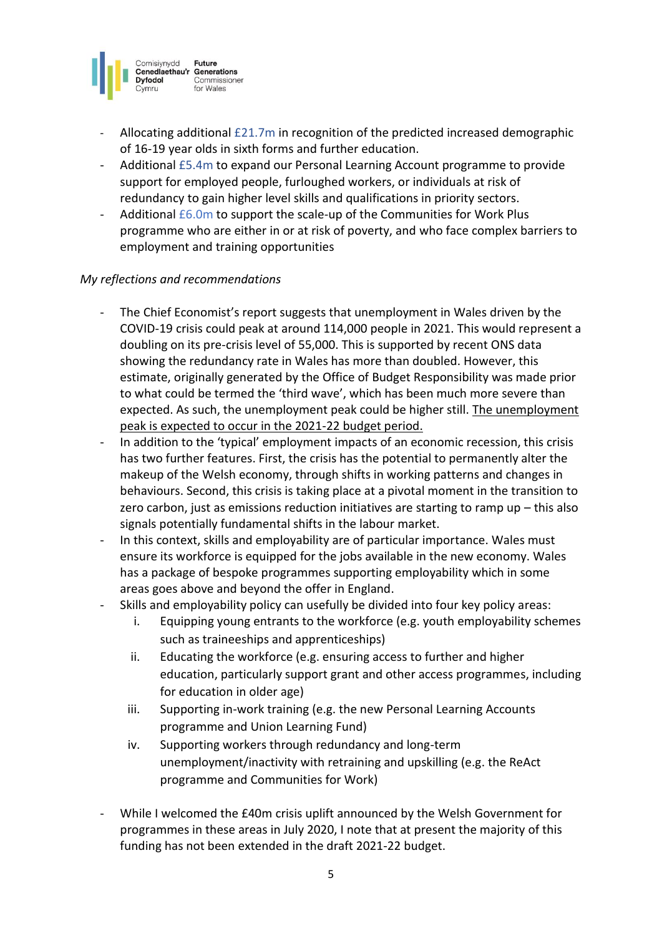

- Allocating additional £21.7m in recognition of the predicted increased demographic of 16-19 year olds in sixth forms and further education.
- Additional £5.4m to expand our Personal Learning Account programme to provide support for employed people, furloughed workers, or individuals at risk of redundancy to gain higher level skills and qualifications in priority sectors.
- Additional  $£6.0m$  to support the scale-up of the Communities for Work Plus programme who are either in or at risk of poverty, and who face complex barriers to employment and training opportunities

- The Chief Economist's report suggests that unemployment in Wales driven by the COVID-19 crisis could peak at around 114,000 people in 2021. This would represent a doubling on its pre-crisis level of 55,000. This is supported by recent ONS data showing the redundancy rate in Wales has more than doubled. However, this estimate, originally generated by the Office of Budget Responsibility was made prior to what could be termed the 'third wave', which has been much more severe than expected. As such, the unemployment peak could be higher still. The unemployment peak is expected to occur in the 2021-22 budget period.
- In addition to the 'typical' employment impacts of an economic recession, this crisis has two further features. First, the crisis has the potential to permanently alter the makeup of the Welsh economy, through shifts in working patterns and changes in behaviours. Second, this crisis is taking place at a pivotal moment in the transition to zero carbon, just as emissions reduction initiatives are starting to ramp up – this also signals potentially fundamental shifts in the labour market.
- In this context, skills and employability are of particular importance. Wales must ensure its workforce is equipped for the jobs available in the new economy. Wales has a package of bespoke programmes supporting employability which in some areas goes above and beyond the offer in England.
- Skills and employability policy can usefully be divided into four key policy areas:
	- i. Equipping young entrants to the workforce (e.g. youth employability schemes such as traineeships and apprenticeships)
	- ii. Educating the workforce (e.g. ensuring access to further and higher education, particularly support grant and other access programmes, including for education in older age)
	- iii. Supporting in-work training (e.g. the new Personal Learning Accounts programme and Union Learning Fund)
	- iv. Supporting workers through redundancy and long-term unemployment/inactivity with retraining and upskilling (e.g. the ReAct programme and Communities for Work)
- While I welcomed the £40m crisis uplift announced by the Welsh Government for programmes in these areas in July 2020, I note that at present the majority of this funding has not been extended in the draft 2021-22 budget.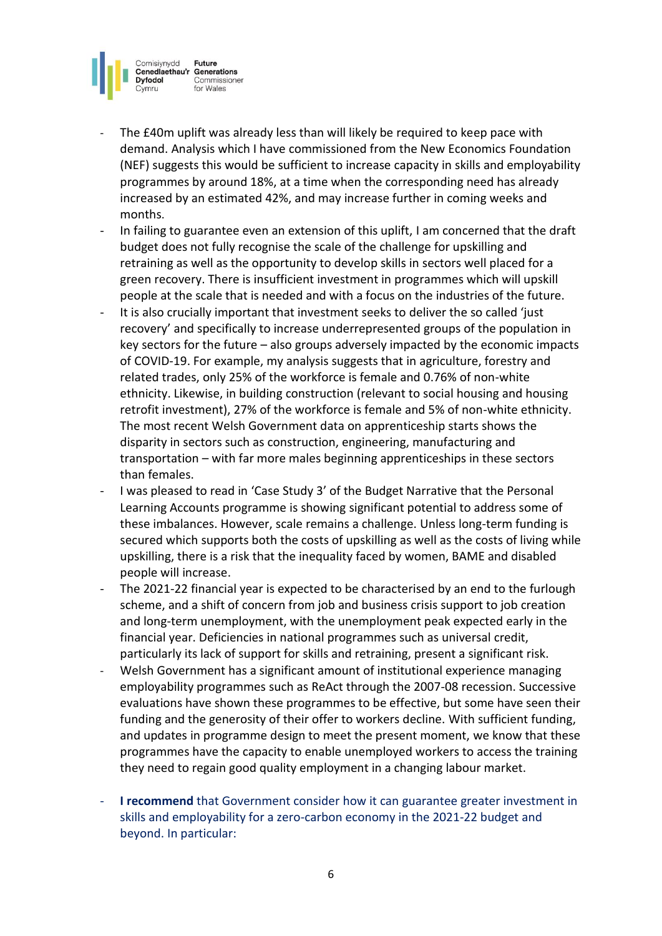

- The £40m uplift was already less than will likely be required to keep pace with demand. Analysis which I have commissioned from the New Economics Foundation (NEF) suggests this would be sufficient to increase capacity in skills and employability programmes by around 18%, at a time when the corresponding need has already increased by an estimated 42%, and may increase further in coming weeks and months.
- In failing to guarantee even an extension of this uplift, I am concerned that the draft budget does not fully recognise the scale of the challenge for upskilling and retraining as well as the opportunity to develop skills in sectors well placed for a green recovery. There is insufficient investment in programmes which will upskill people at the scale that is needed and with a focus on the industries of the future.
- It is also crucially important that investment seeks to deliver the so called 'just recovery' and specifically to increase underrepresented groups of the population in key sectors for the future – also groups adversely impacted by the economic impacts of COVID-19. For example, my analysis suggests that in agriculture, forestry and related trades, only 25% of the workforce is female and 0.76% of non-white ethnicity. Likewise, in building construction (relevant to social housing and housing retrofit investment), 27% of the workforce is female and 5% of non-white ethnicity. The most recent Welsh Government [data](https://gov.wales/apprenticeship-learning-programmes-started-interactive-dashboard) on apprenticeship starts shows the disparity in sectors such as construction, engineering, manufacturing and transportation – with far more males beginning apprenticeships in these sectors than females.
- I was pleased to read in 'Case Study 3' of the Budget Narrative that the Personal Learning Accounts programme is showing significant potential to address some of these imbalances. However, scale remains a challenge. Unless long-term funding is secured which supports both the costs of upskilling as well as the costs of living while upskilling, there is a risk that the inequality faced by women, BAME and disabled people will increase.
- The 2021-22 financial year is expected to be characterised by an end to the furlough scheme, and a shift of concern from job and business crisis support to job creation and long-term unemployment, with the unemployment peak expected early in the financial year. Deficiencies in national programmes such as universal credit, particularly its lack of support for skills and retraining, present a significant risk.
- Welsh Government has a significant amount of institutional experience managing employability programmes such as ReAct through the 2007-08 recession. Successive evaluations have shown these programmes to be effective, but some have seen their funding and the generosity of their offer to workers decline. With sufficient funding, and updates in programme design to meet the present moment, we know that these programmes have the capacity to enable unemployed workers to access the training they need to regain good quality employment in a changing labour market.
- **I recommend** that Government consider how it can guarantee greater investment in skills and employability for a zero-carbon economy in the 2021-22 budget and beyond. In particular: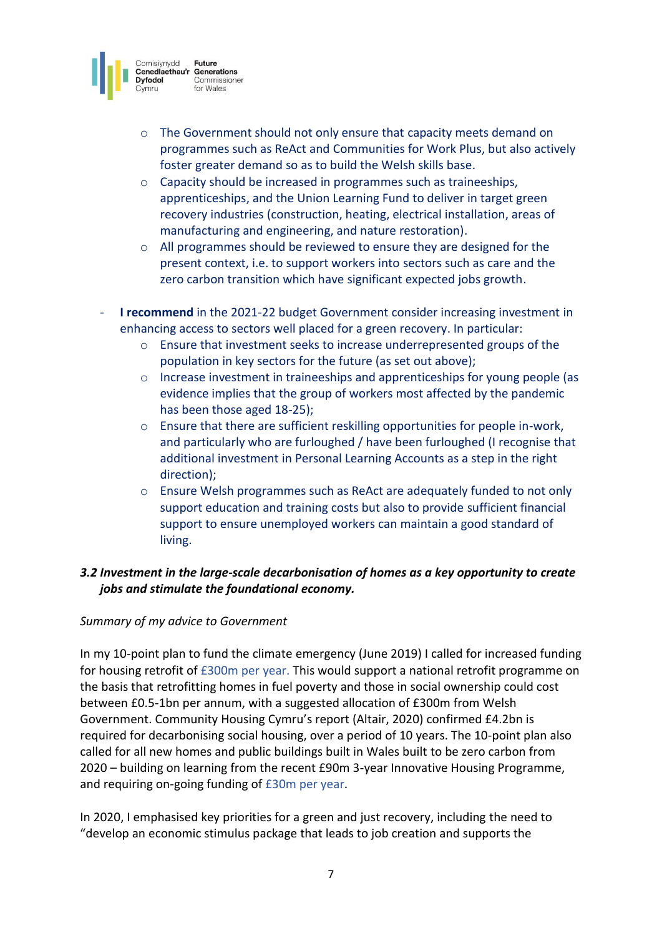

- $\circ$  The Government should not only ensure that capacity meets demand on programmes such as ReAct and Communities for Work Plus, but also actively foster greater demand so as to build the Welsh skills base.
- o Capacity should be increased in programmes such as traineeships, apprenticeships, and the Union Learning Fund to deliver in target green recovery industries (construction, heating, electrical installation, areas of manufacturing and engineering, and nature restoration).
- $\circ$  All programmes should be reviewed to ensure they are designed for the present context, i.e. to support workers into sectors such as care and the zero carbon transition which have significant expected jobs growth.
- **I recommend** in the 2021-22 budget Government consider increasing investment in enhancing access to sectors well placed for a green recovery. In particular:
	- $\circ$  Ensure that investment seeks to increase underrepresented groups of the population in key sectors for the future (as set out above);
	- o Increase investment in traineeships and apprenticeships for young people (as evidence implies that the group of workers most affected by the pandemic has been those aged 18-25);
	- o Ensure that there are sufficient reskilling opportunities for people in-work, and particularly who are furloughed / have been furloughed (I recognise that additional investment in Personal Learning Accounts as a step in the right direction);
	- o Ensure Welsh programmes such as ReAct are adequately funded to not only support education and training costs but also to provide sufficient financial support to ensure unemployed workers can maintain a good standard of living.

# *3.2 Investment in the large-scale decarbonisation of homes as a key opportunity to create jobs and stimulate the foundational economy.*

## *Summary of my advice to Government*

In my 10-point plan to fund the climate emergency (June 2019) I called for increased funding for housing retrofit of £300m per year. This would support a national retrofit programme on the basis that retrofitting homes in fuel poverty and those in social ownership could cost between £0.5-1bn per annum, with a suggested allocation of £300m from Welsh Government. Community Housing Cymru's report (Altair, 2020) confirmed £4.2bn is required for decarbonising social housing, over a period of 10 years. The 10-point plan also called for all new homes and public buildings built in Wales built to be zero carbon from 2020 – building on learning from the recent £90m 3-year Innovative Housing Programme, and requiring on-going funding of £30m per year.

In 2020, I emphasised key priorities for a green and just recovery, including the need to "develop an economic stimulus package that leads to job creation and supports the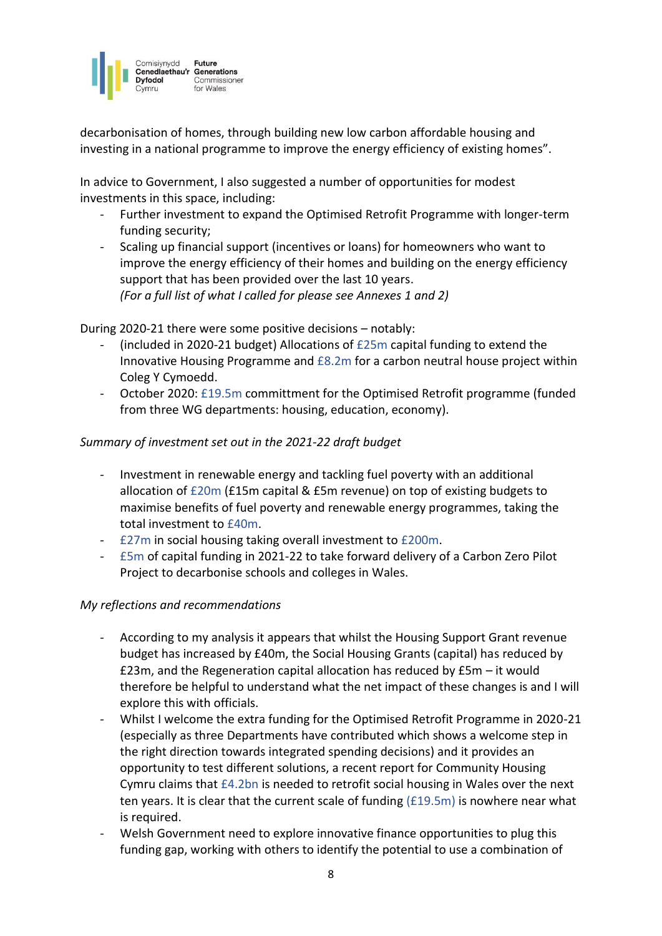

decarbonisation of homes, through building new low carbon affordable housing and investing in a national programme to improve the energy efficiency of existing homes".

In advice to Government, I also suggested a number of opportunities for modest investments in this space, including:

- Further investment to expand the Optimised Retrofit Programme with longer-term funding security;
- Scaling up financial support (incentives or loans) for homeowners who want to improve the energy efficiency of their homes and building on the energy efficiency support that has been provided over the last 10 years. *(For a full list of what I called for please see Annexes 1 and 2)*

During 2020-21 there were some positive decisions – notably:

- (included in 2020-21 budget) Allocations of £25m capital funding to extend the Innovative Housing Programme and £8.2m for a carbon neutral house project within Coleg Y Cymoedd.
- October 2020: £19.5m committment for the Optimised Retrofit programme (funded from three WG departments: housing, education, economy).

#### *Summary of investment set out in the 2021-22 draft budget*

- Investment in renewable energy and tackling fuel poverty with an additional allocation of £20m (£15m capital & £5m revenue) on top of existing budgets to maximise benefits of fuel poverty and renewable energy programmes, taking the total investment to £40m.
- £27m in social housing taking overall investment to £200m.
- £5m of capital funding in 2021-22 to take forward delivery of a Carbon Zero Pilot Project to decarbonise schools and colleges in Wales.

- According to my analysis it appears that whilst the Housing Support Grant revenue budget has increased by £40m, the Social Housing Grants (capital) has reduced by £23m, and the Regeneration capital allocation has reduced by £5m – it would therefore be helpful to understand what the net impact of these changes is and I will explore this with officials.
- Whilst I welcome the extra funding for the Optimised Retrofit Programme in 2020-21 (especially as three Departments have contributed which shows a welcome step in the right direction towards integrated spending decisions) and it provides an opportunity to test different solutions, a recent report for Community Housing Cymru claims that £4.2bn is needed to retrofit social housing in Wales over the next ten years. It is clear that the current scale of funding (£19.5m) is nowhere near what is required.
- Welsh Government need to explore innovative finance opportunities to plug this funding gap, working with others to identify the potential to use a combination of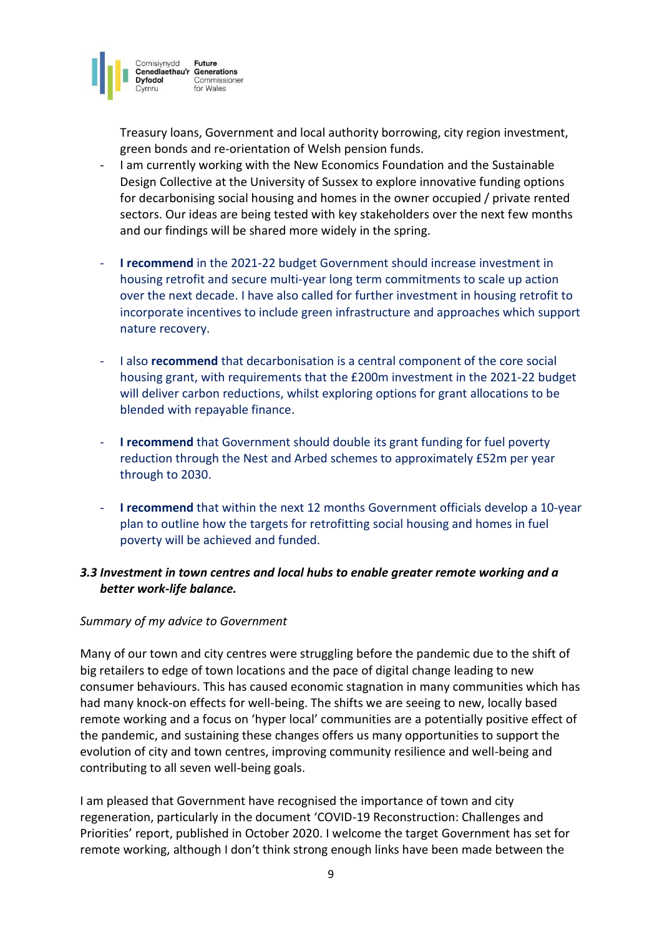

Treasury loans, Government and local authority borrowing, city region investment, green bonds and re-orientation of Welsh pension funds.

- I am currently working with the New Economics Foundation and the Sustainable Design Collective at the University of Sussex to explore innovative funding options for decarbonising social housing and homes in the owner occupied / private rented sectors. Our ideas are being tested with key stakeholders over the next few months and our findings will be shared more widely in the spring.
- **I recommend** in the 2021-22 budget Government should increase investment in housing retrofit and secure multi-year long term commitments to scale up action over the next decade. I have also called for further investment in housing retrofit to incorporate incentives to include green infrastructure and approaches which support nature recovery.
- I also **recommend** that decarbonisation is a central component of the core social housing grant, with requirements that the £200m investment in the 2021-22 budget will deliver carbon reductions, whilst exploring options for grant allocations to be blended with repayable finance.
- **I recommend** that Government should double its grant funding for fuel poverty reduction through the Nest and Arbed schemes to approximately £52m per year through to 2030.
- **I recommend** that within the next 12 months Government officials develop a 10-year plan to outline how the targets for retrofitting social housing and homes in fuel poverty will be achieved and funded.

# *3.3 Investment in town centres and local hubs to enable greater remote working and a better work-life balance.*

#### *Summary of my advice to Government*

Many of our town and city centres were struggling before the pandemic due to the shift of big retailers to edge of town locations and the pace of digital change leading to new consumer behaviours. This has caused economic stagnation in many communities which has had many knock-on effects for well-being. The shifts we are seeing to new, locally based remote working and a focus on 'hyper local' communities are a potentially positive effect of the pandemic, and sustaining these changes offers us many opportunities to support the evolution of city and town centres, improving community resilience and well-being and contributing to all seven well-being goals.

I am pleased that Government have recognised the importance of town and city regeneration, particularly in the document 'COVID-19 Reconstruction: Challenges and Priorities' report, published in October 2020. I welcome the target Government has set for remote working, although I don't think strong enough links have been made between the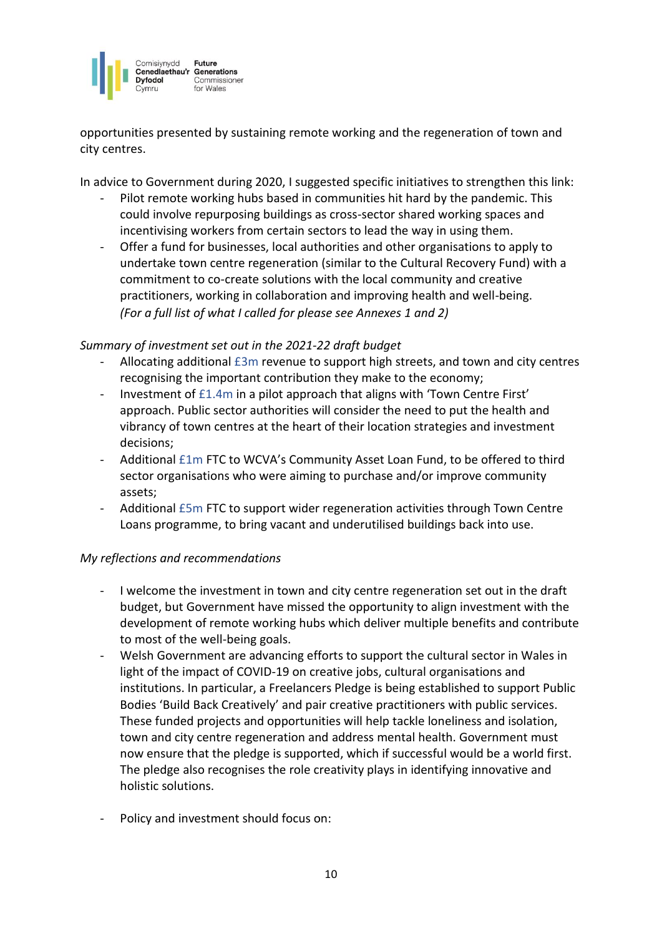

opportunities presented by sustaining remote working and the regeneration of town and city centres.

In advice to Government during 2020, I suggested specific initiatives to strengthen this link:

- Pilot remote working hubs based in communities hit hard by the pandemic. This could involve repurposing buildings as cross-sector shared working spaces and incentivising workers from certain sectors to lead the way in using them.
- Offer a fund for businesses, local authorities and other organisations to apply to undertake town centre regeneration (similar to the Cultural Recovery Fund) with a commitment to co-create solutions with the local community and creative practitioners, working in collaboration and improving health and well-being. *(For a full list of what I called for please see Annexes 1 and 2)*

## *Summary of investment set out in the 2021-22 draft budget*

- Allocating additional £3m revenue to support high streets, and town and city centres recognising the important contribution they make to the economy;
- Investment of £1.4m in a pilot approach that aligns with 'Town Centre First' approach. Public sector authorities will consider the need to put the health and vibrancy of town centres at the heart of their location strategies and investment decisions;
- Additional £1m FTC to WCVA's Community Asset Loan Fund, to be offered to third sector organisations who were aiming to purchase and/or improve community assets;
- Additional £5m FTC to support wider regeneration activities through Town Centre Loans programme, to bring vacant and underutilised buildings back into use.

- I welcome the investment in town and city centre regeneration set out in the draft budget, but Government have missed the opportunity to align investment with the development of remote working hubs which deliver multiple benefits and contribute to most of the well-being goals.
- Welsh Government are advancing efforts to support the cultural sector in Wales in light of the impact of COVID-19 on creative jobs, cultural organisations and institutions. In particular, a Freelancers Pledge is being established to support Public Bodies 'Build Back Creatively' and pair creative practitioners with public services. These funded projects and opportunities will help tackle loneliness and isolation, town and city centre regeneration and address mental health. Government must now ensure that the pledge is supported, which if successful would be a world first. The pledge also recognises the role creativity plays in identifying innovative and holistic solutions.
- Policy and investment should focus on: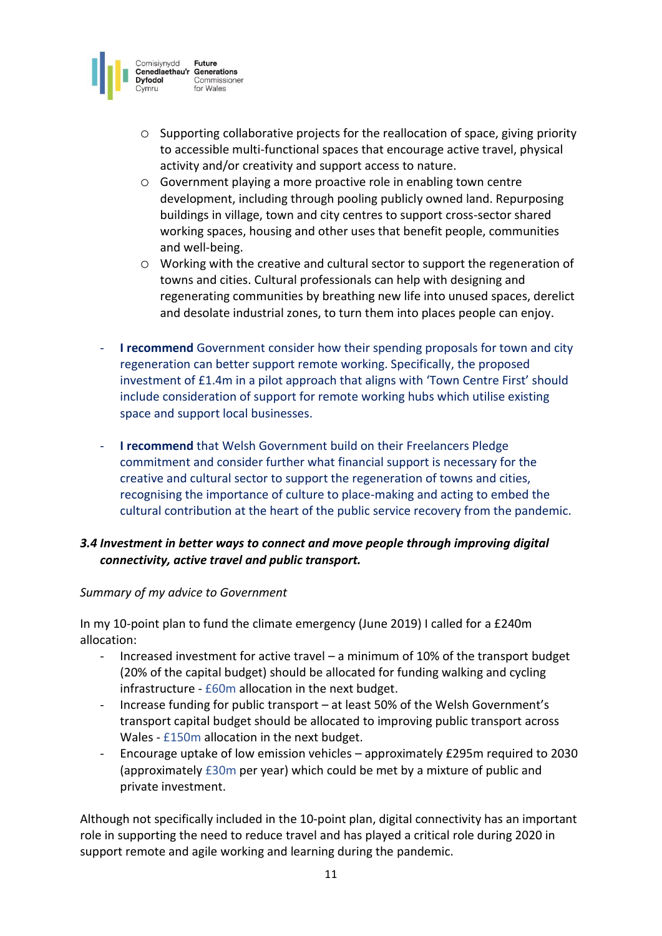

- $\circ$  Supporting collaborative projects for the reallocation of space, giving priority to accessible multi-functional spaces that encourage active travel, physical activity and/or creativity and support access to nature.
- o Government playing a more proactive role in enabling town centre development, including through pooling publicly owned land. Repurposing buildings in village, town and city centres to support cross-sector shared working spaces, housing and other uses that benefit people, communities and well-being.
- o Working with the creative and cultural sector to support the regeneration of towns and cities. Cultural professionals can help with designing and regenerating communities by breathing new life into unused spaces, derelict and desolate industrial zones, to turn them into places people can enjoy.
- **I recommend** Government consider how their spending proposals for town and city regeneration can better support remote working. Specifically, the proposed investment of £1.4m in a pilot approach that aligns with 'Town Centre First' should include consideration of support for remote working hubs which utilise existing space and support local businesses.
- **I recommend** that Welsh Government build on their Freelancers Pledge commitment and consider further what financial support is necessary for the creative and cultural sector to support the regeneration of towns and cities, recognising the importance of culture to place-making and acting to embed the cultural contribution at the heart of the public service recovery from the pandemic.

# *3.4 Investment in better ways to connect and move people through improving digital connectivity, active travel and public transport.*

## *Summary of my advice to Government*

In my 10-point plan to fund the climate emergency (June 2019) I called for a £240m allocation:

- Increased investment for active travel a minimum of 10% of the transport budget (20% of the capital budget) should be allocated for funding walking and cycling infrastructure - £60m allocation in the next budget.
- Increase funding for public transport at least 50% of the Welsh Government's transport capital budget should be allocated to improving public transport across Wales - £150m allocation in the next budget.
- Encourage uptake of low emission vehicles approximately £295m required to 2030 (approximately £30m per year) which could be met by a mixture of public and private investment.

Although not specifically included in the 10-point plan, digital connectivity has an important role in supporting the need to reduce travel and has played a critical role during 2020 in support remote and agile working and learning during the pandemic.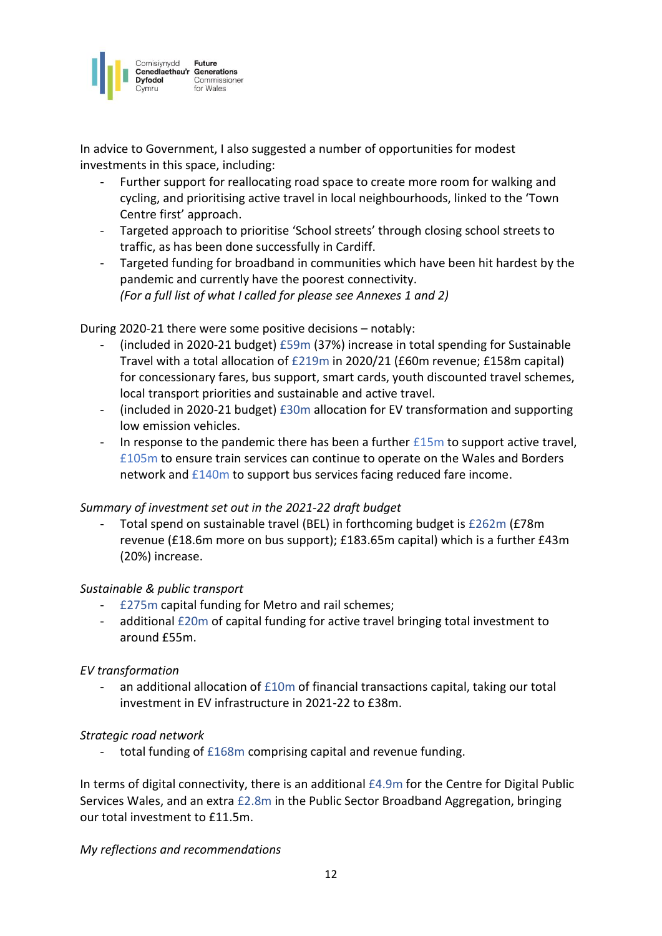

In advice to Government, I also suggested a number of opportunities for modest investments in this space, including:

- Further support for reallocating road space to create more room for walking and cycling, and prioritising active travel in local neighbourhoods, linked to the 'Town Centre first' approach.
- Targeted approach to prioritise 'School streets' through closing school streets to traffic, as has been done successfully in Cardiff.
- Targeted funding for broadband in communities which have been hit hardest by the pandemic and currently have the poorest connectivity. *(For a full list of what I called for please see Annexes 1 and 2)*

#### During 2020-21 there were some positive decisions – notably:

- (included in 2020-21 budget) £59m (37%) increase in total spending for Sustainable Travel with a total allocation of £219m in 2020/21 (£60m revenue; £158m capital) for concessionary fares, bus support, smart cards, youth discounted travel schemes, local transport priorities and sustainable and active travel.
- $(inded in 2020-21 budget)$  £30m allocation for EV transformation and supporting low emission vehicles.
- In response to the pandemic there has been a further  $£15m$  to support active travel, £105m to ensure train services can continue to operate on the Wales and Borders network and £140m to support bus services facing reduced fare income.

#### *Summary of investment set out in the 2021-22 draft budget*

Total spend on sustainable travel (BEL) in forthcoming budget is £262m (£78m revenue (£18.6m more on bus support); £183.65m capital) which is a further £43m (20%) increase.

#### *Sustainable & public transport*

- £275m capital funding for Metro and rail schemes;
- additional £20m of capital funding for active travel bringing total investment to around £55m.

#### *EV transformation*

an additional allocation of  $£10m$  of financial transactions capital, taking our total investment in EV infrastructure in 2021-22 to £38m.

#### *Strategic road network*

- total funding of £168m comprising capital and revenue funding.

In terms of digital connectivity, there is an additional £4.9m for the Centre for Digital Public Services Wales, and an extra £2.8m in the Public Sector Broadband Aggregation, bringing our total investment to £11.5m.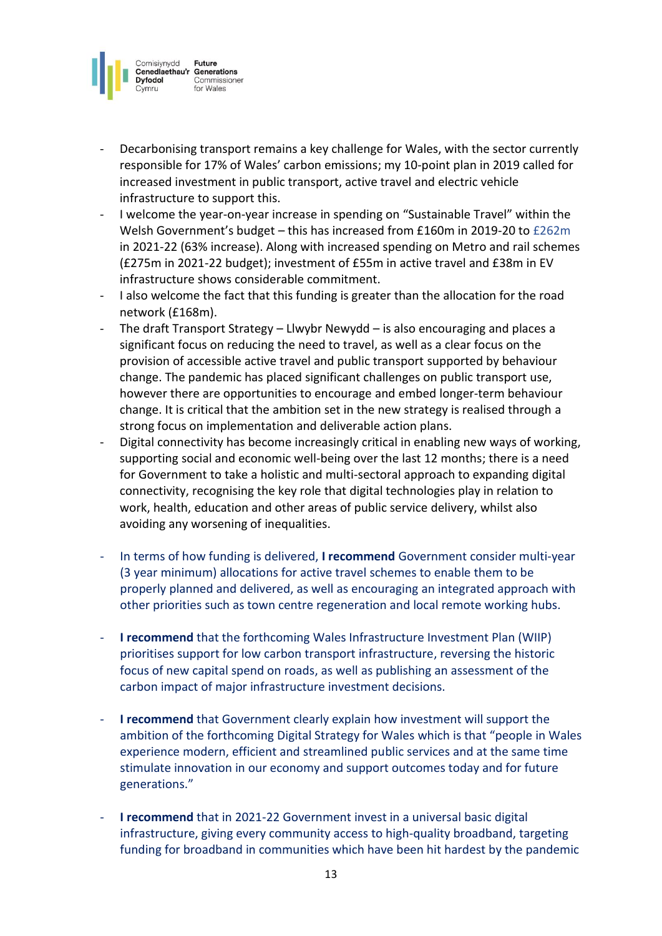

- Decarbonising transport remains a key challenge for Wales, with the sector currently responsible for 17% of Wales' carbon emissions; my 10-point plan in 2019 called for increased investment in public transport, active travel and electric vehicle infrastructure to support this.
- I welcome the year-on-year increase in spending on "Sustainable Travel" within the Welsh Government's budget – this has increased from £160m in 2019-20 to £262m in 2021-22 (63% increase). Along with increased spending on Metro and rail schemes (£275m in 2021-22 budget); investment of £55m in active travel and £38m in EV infrastructure shows considerable commitment.
- I also welcome the fact that this funding is greater than the allocation for the road network (£168m).
- The draft Transport Strategy Llwybr Newydd is also encouraging and places a significant focus on reducing the need to travel, as well as a clear focus on the provision of accessible active travel and public transport supported by behaviour change. The pandemic has placed significant challenges on public transport use, however there are opportunities to encourage and embed longer-term behaviour change. It is critical that the ambition set in the new strategy is realised through a strong focus on implementation and deliverable action plans.
- Digital connectivity has become increasingly critical in enabling new ways of working, supporting social and economic well-being over the last 12 months; there is a need for Government to take a holistic and multi-sectoral approach to expanding digital connectivity, recognising the key role that digital technologies play in relation to work, health, education and other areas of public service delivery, whilst also avoiding any worsening of inequalities.
- In terms of how funding is delivered, **I recommend** Government consider multi-year (3 year minimum) allocations for active travel schemes to enable them to be properly planned and delivered, as well as encouraging an integrated approach with other priorities such as town centre regeneration and local remote working hubs.
- **I recommend** that the forthcoming Wales Infrastructure Investment Plan (WIIP) prioritises support for low carbon transport infrastructure, reversing the historic focus of new capital spend on roads, as well as publishing an assessment of the carbon impact of major infrastructure investment decisions.
- **I recommend** that Government clearly explain how investment will support the ambition of the forthcoming Digital Strategy for Wales which is that "people in Wales experience modern, efficient and streamlined public services and at the same time stimulate innovation in our economy and support outcomes today and for future generations."
- **I recommend** that in 2021-22 Government invest in a universal basic digital infrastructure, giving every community access to high-quality broadband, targeting funding for broadband in communities which have been hit hardest by the pandemic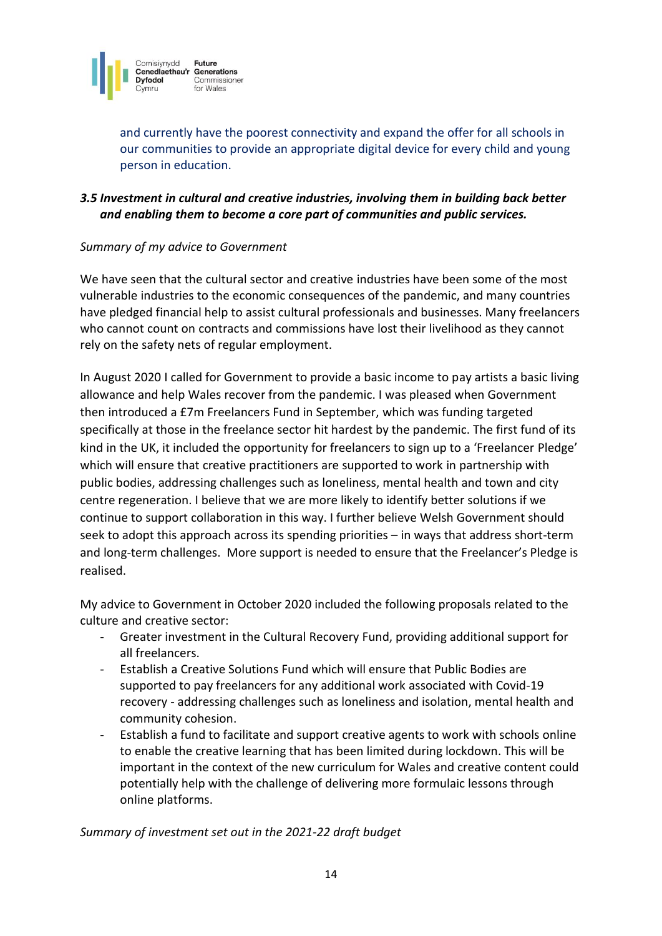

and currently have the poorest connectivity and expand the offer for all schools in our communities to provide an appropriate digital device for every child and young person in education.

# *3.5 Investment in cultural and creative industries, involving them in building back better and enabling them to become a core part of communities and public services.*

## *Summary of my advice to Government*

We have seen that the cultural sector and creative industries have been some of the most vulnerable industries to the economic consequences of the pandemic, and many countries have pledged financial help to assist cultural professionals and businesses. Many freelancers who cannot count on contracts and commissions have lost their livelihood as they cannot rely on the safety nets of regular employment.

In August 2020 I called for Government to provide a basic income to pay artists a basic living allowance and help Wales recover from the pandemic. I was pleased when Government then introduced a £7m Freelancers Fund in September, which was funding targeted specifically at those in the freelance sector hit hardest by the pandemic. The first fund of its kind in the UK, it included the opportunity for freelancers to sign up to a 'Freelancer Pledge' which will ensure that creative practitioners are supported to work in partnership with public bodies, addressing challenges such as loneliness, mental health and town and city centre regeneration. I believe that we are more likely to identify better solutions if we continue to support collaboration in this way. I further believe Welsh Government should seek to adopt this approach across its spending priorities – in ways that address short-term and long-term challenges. More support is needed to ensure that the Freelancer's Pledge is realised.

My advice to Government in October 2020 included the following proposals related to the culture and creative sector:

- Greater investment in the Cultural Recovery Fund, providing additional support for all freelancers.
- Establish a Creative Solutions Fund which will ensure that Public Bodies are supported to pay freelancers for any additional work associated with Covid-19 recovery - addressing challenges such as loneliness and isolation, mental health and community cohesion.
- Establish a fund to facilitate and support creative agents to work with schools online to enable the creative learning that has been limited during lockdown. This will be important in the context of the new curriculum for Wales and creative content could potentially help with the challenge of delivering more formulaic lessons through online platforms.

## *Summary of investment set out in the 2021-22 draft budget*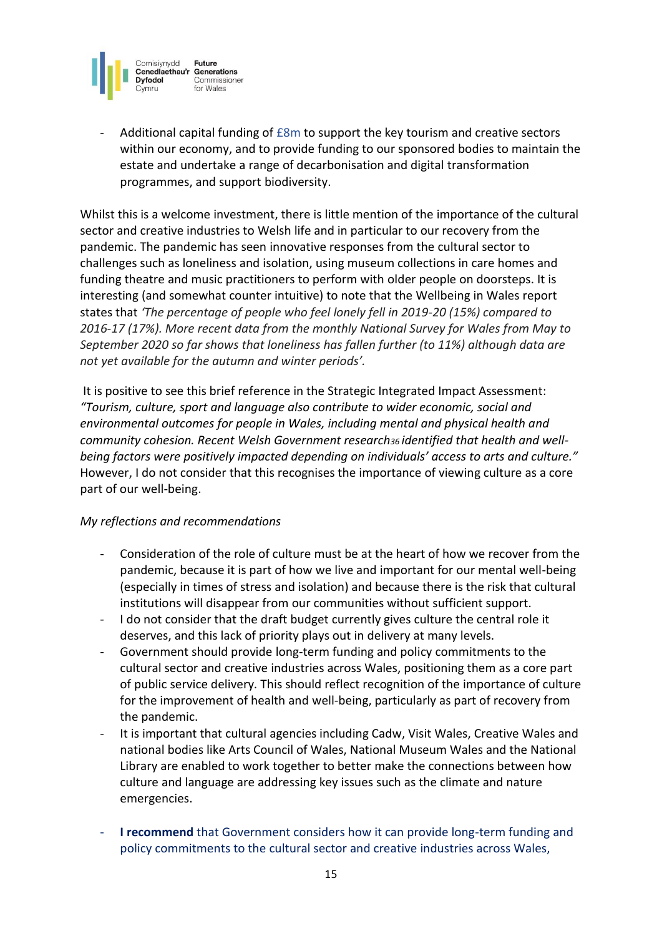

Additional capital funding of  $E8m$  to support the key tourism and creative sectors within our economy, and to provide funding to our sponsored bodies to maintain the estate and undertake a range of decarbonisation and digital transformation programmes, and support biodiversity.

Whilst this is a welcome investment, there is little mention of the importance of the cultural sector and creative industries to Welsh life and in particular to our recovery from the pandemic. The pandemic has seen innovative responses from the cultural sector to challenges such as loneliness and isolation, using museum collections in care homes and funding theatre and music practitioners to perform with older people on doorsteps. It is interesting (and somewhat counter intuitive) to note that the Wellbeing in Wales report states that *'The percentage of people who feel lonely fell in 2019-20 (15%) compared to 2016-17 (17%). More recent data from the monthly National Survey for Wales from May to September 2020 so far shows that loneliness has fallen further (to 11%) although data are not yet available for the autumn and winter periods'.*

It is positive to see this brief reference in the Strategic Integrated Impact Assessment: *"Tourism, culture, sport and language also contribute to wider economic, social and environmental outcomes for people in Wales, including mental and physical health and community cohesion. Recent Welsh Government research36 identified that health and wellbeing factors were positively impacted depending on individuals' access to arts and culture."* However, I do not consider that this recognises the importance of viewing culture as a core part of our well-being.

- Consideration of the role of culture must be at the heart of how we recover from the pandemic, because it is part of how we live and important for our mental well-being (especially in times of stress and isolation) and because there is the risk that cultural institutions will disappear from our communities without sufficient support.
- I do not consider that the draft budget currently gives culture the central role it deserves, and this lack of priority plays out in delivery at many levels.
- Government should provide long-term funding and policy commitments to the cultural sector and creative industries across Wales, positioning them as a core part of public service delivery. This should reflect recognition of the importance of culture for the improvement of health and well-being, particularly as part of recovery from the pandemic.
- It is important that cultural agencies including Cadw, Visit Wales, Creative Wales and national bodies like Arts Council of Wales, National Museum Wales and the National Library are enabled to work together to better make the connections between how culture and language are addressing key issues such as the climate and nature emergencies.
- **I recommend** that Government considers how it can provide long-term funding and policy commitments to the cultural sector and creative industries across Wales,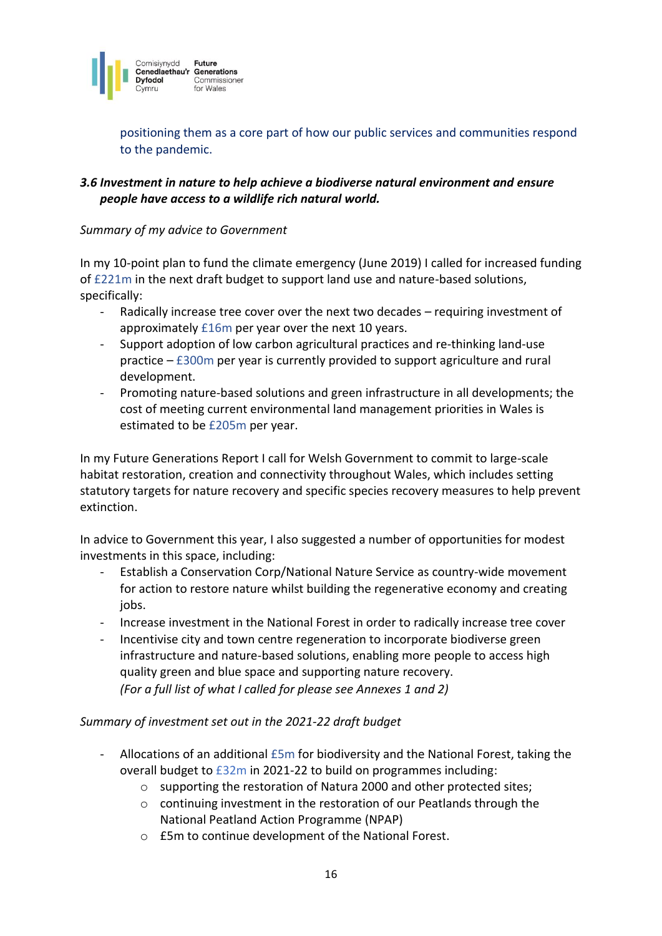

positioning them as a core part of how our public services and communities respond to the pandemic.

# *3.6 Investment in nature to help achieve a biodiverse natural environment and ensure people have access to a wildlife rich natural world.*

#### *Summary of my advice to Government*

In my 10-point plan to fund the climate emergency (June 2019) I called for increased funding of £221m in the next draft budget to support land use and nature-based solutions, specifically:

- Radically increase tree cover over the next two decades requiring investment of approximately £16m per year over the next 10 years.
- Support adoption of low carbon agricultural practices and re-thinking land-use practice – £300m per year is currently provided to support agriculture and rural development.
- Promoting nature-based solutions and green infrastructure in all developments; the cost of meeting current environmental land management priorities in Wales is estimated to be £205m per year.

In my Future Generations Report I call for Welsh Government to commit to large-scale habitat restoration, creation and connectivity throughout Wales, which includes setting statutory targets for nature recovery and specific species recovery measures to help prevent extinction.

In advice to Government this year, I also suggested a number of opportunities for modest investments in this space, including:

- Establish a Conservation Corp/National Nature Service as country-wide movement for action to restore nature whilst building the regenerative economy and creating jobs.
- Increase investment in the National Forest in order to radically increase tree cover
- Incentivise city and town centre regeneration to incorporate biodiverse green infrastructure and nature-based solutions, enabling more people to access high quality green and blue space and supporting nature recovery. *(For a full list of what I called for please see Annexes 1 and 2)*

## *Summary of investment set out in the 2021-22 draft budget*

- Allocations of an additional £5m for biodiversity and the National Forest, taking the overall budget to £32m in 2021-22 to build on programmes including:
	- o supporting the restoration of Natura 2000 and other protected sites;
	- o continuing investment in the restoration of our Peatlands through the National Peatland Action Programme (NPAP)
	- o £5m to continue development of the National Forest.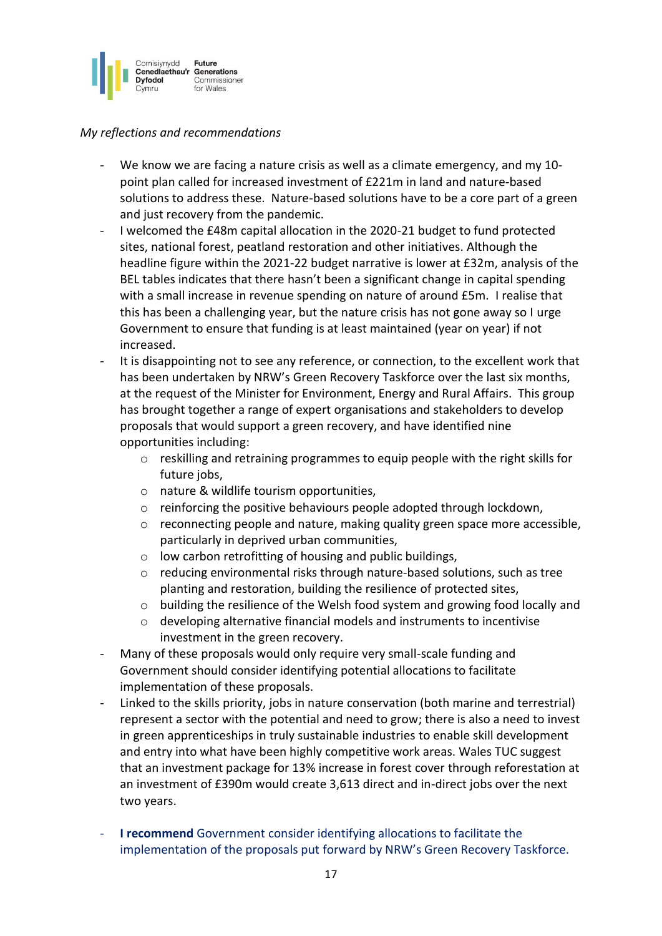

- We know we are facing a nature crisis as well as a climate emergency, and my 10point plan called for increased investment of £221m in land and nature-based solutions to address these. Nature-based solutions have to be a core part of a green and just recovery from the pandemic.
- I welcomed the £48m capital allocation in the 2020-21 budget to fund protected sites, national forest, peatland restoration and other initiatives. Although the headline figure within the 2021-22 budget narrative is lower at £32m, analysis of the BEL tables indicates that there hasn't been a significant change in capital spending with a small increase in revenue spending on nature of around £5m. I realise that this has been a challenging year, but the nature crisis has not gone away so I urge Government to ensure that funding is at least maintained (year on year) if not increased.
- It is disappointing not to see any reference, or connection, to the excellent work that has been undertaken by NRW's Green Recovery Taskforce over the last six months, at the request of the Minister for Environment, Energy and Rural Affairs. This group has brought together a range of expert organisations and stakeholders to develop proposals that would support a green recovery, and have identified nine opportunities including:
	- $\circ$  reskilling and retraining programmes to equip people with the right skills for future jobs,
	- o nature & wildlife tourism opportunities,
	- $\circ$  reinforcing the positive behaviours people adopted through lockdown,
	- $\circ$  reconnecting people and nature, making quality green space more accessible, particularly in deprived urban communities,
	- o low carbon retrofitting of housing and public buildings,
	- o reducing environmental risks through nature-based solutions, such as tree planting and restoration, building the resilience of protected sites,
	- $\circ$  building the resilience of the Welsh food system and growing food locally and
	- o developing alternative financial models and instruments to incentivise investment in the green recovery.
- Many of these proposals would only require very small-scale funding and Government should consider identifying potential allocations to facilitate implementation of these proposals.
- Linked to the skills priority, jobs in nature conservation (both marine and terrestrial) represent a sector with the potential and need to grow; there is also a need to invest in green apprenticeships in truly sustainable industries to enable skill development and entry into what have been highly competitive work areas. Wales TUC suggest that an investment package for 13% increase in forest cover through reforestation at an investment of £390m would create 3,613 direct and in-direct jobs over the next two years.
- **I recommend** Government consider identifying allocations to facilitate the implementation of the proposals put forward by NRW's Green Recovery Taskforce.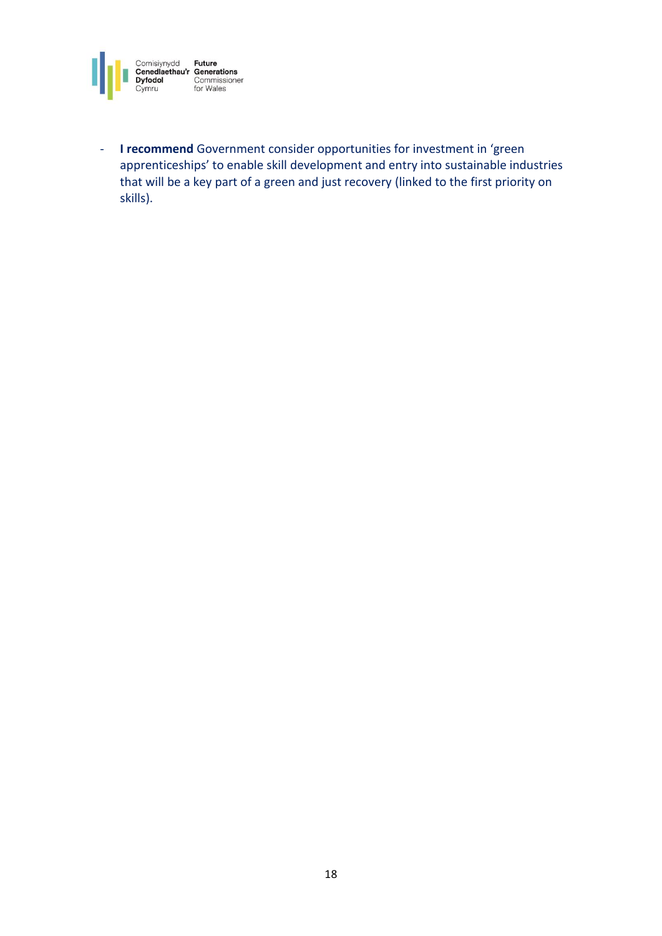

- **I recommend** Government consider opportunities for investment in 'green apprenticeships' to enable skill development and entry into sustainable industries that will be a key part of a green and just recovery (linked to the first priority on skills).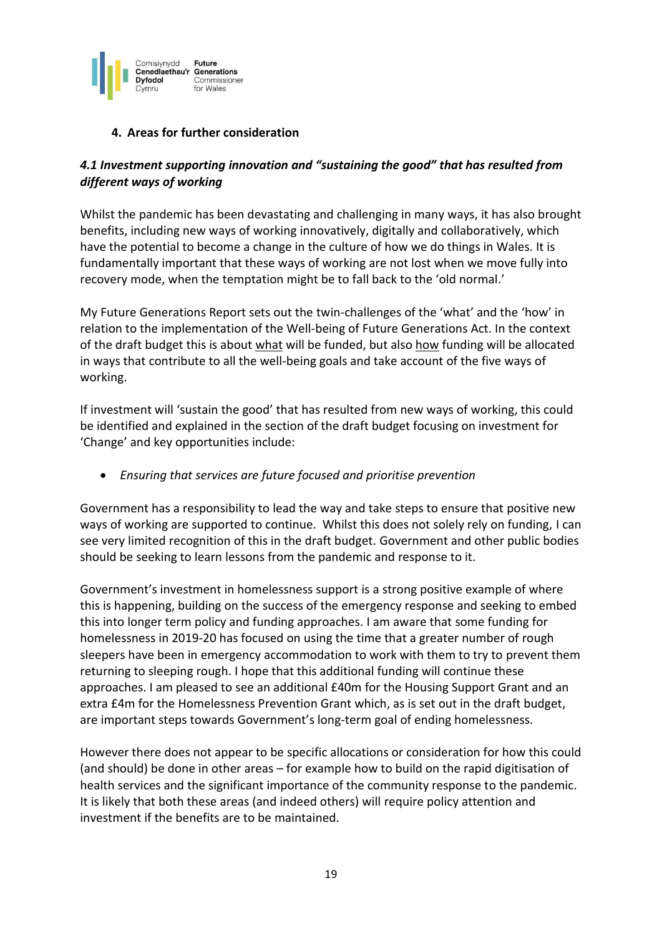

# **4. Areas for further consideration**

# *4.1 Investment supporting innovation and "sustaining the good" that has resulted from different ways of working*

Whilst the pandemic has been devastating and challenging in many ways, it has also brought benefits, including new ways of working innovatively, digitally and collaboratively, which have the potential to become a change in the culture of how we do things in Wales. It is fundamentally important that these ways of working are not lost when we move fully into recovery mode, when the temptation might be to fall back to the 'old normal.'

My Future Generations Report sets out the twin-challenges of the 'what' and the 'how' in relation to the implementation of the Well-being of Future Generations Act. In the context of the draft budget this is about what will be funded, but also how funding will be allocated in ways that contribute to all the well-being goals and take account of the five ways of working.

If investment will 'sustain the good' that has resulted from new ways of working, this could be identified and explained in the section of the draft budget focusing on investment for 'Change' and key opportunities include:

• *Ensuring that services are future focused and prioritise prevention* 

Government has a responsibility to lead the way and take steps to ensure that positive new ways of working are supported to continue. Whilst this does not solely rely on funding, I can see very limited recognition of this in the draft budget. Government and other public bodies should be seeking to learn lessons from the pandemic and response to it.

Government's investment in homelessness support is a strong positive example of where this is happening, building on the success of the emergency response and seeking to embed this into longer term policy and funding approaches. I am aware that some funding for homelessness in 2019-20 has focused on using the time that a greater number of rough sleepers have been in emergency accommodation to work with them to try to prevent them returning to sleeping rough. I hope that this additional funding will continue these approaches. I am pleased to see an additional £40m for the Housing Support Grant and an extra £4m for the Homelessness Prevention Grant which, as is set out in the draft budget, are important steps towards Government's long-term goal of ending homelessness.

However there does not appear to be specific allocations or consideration for how this could (and should) be done in other areas – for example how to build on the rapid digitisation of health services and the significant importance of the community response to the pandemic. It is likely that both these areas (and indeed others) will require policy attention and investment if the benefits are to be maintained.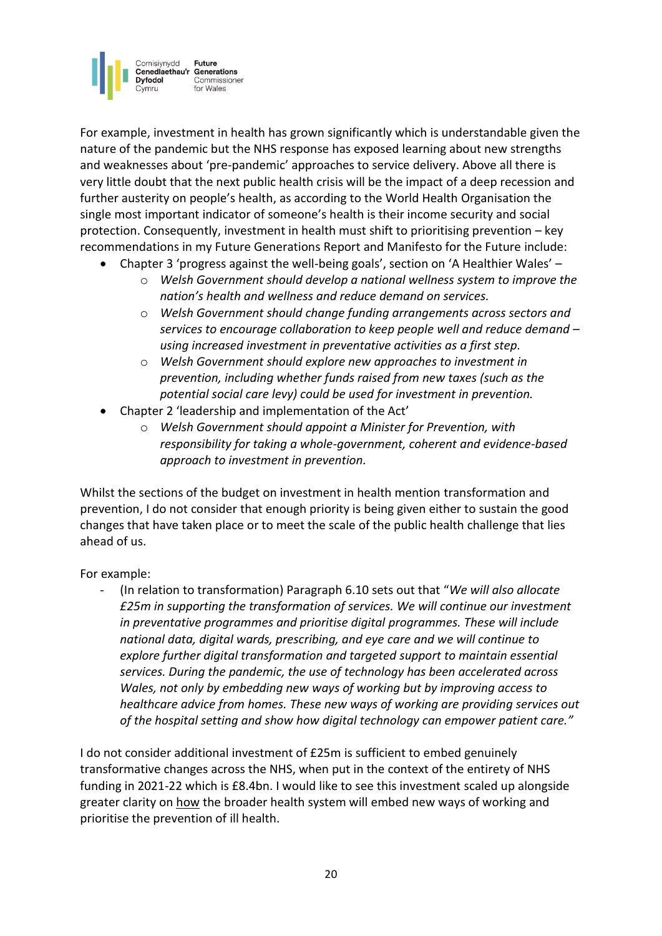

For example, investment in health has grown significantly which is understandable given the nature of the pandemic but the NHS response has exposed learning about new strengths and weaknesses about 'pre-pandemic' approaches to service delivery. Above all there is very little doubt that the next public health crisis will be the impact of a deep recession and further austerity on people's health, as according to the World Health Organisation the single most important indicator of someone's health is their income security and social protection. Consequently, investment in health must shift to prioritising prevention – key recommendations in my Future Generations Report and Manifesto for the Future include:

- Chapter 3 'progress against the well-being goals', section on 'A Healthier Wales'
	- o *Welsh Government should develop a national wellness system to improve the nation's health and wellness and reduce demand on services.*
	- o *Welsh Government should change funding arrangements across sectors and services to encourage collaboration to keep people well and reduce demand – using increased investment in preventative activities as a first step.*
	- o *Welsh Government should explore new approaches to investment in prevention, including whether funds raised from new taxes (such as the potential social care levy) could be used for investment in prevention.*
- Chapter 2 'leadership and implementation of the Act'
	- o *Welsh Government should appoint a Minister for Prevention, with responsibility for taking a whole-government, coherent and evidence-based approach to investment in prevention.*

Whilst the sections of the budget on investment in health mention transformation and prevention, I do not consider that enough priority is being given either to sustain the good changes that have taken place or to meet the scale of the public health challenge that lies ahead of us.

For example:

- (In relation to transformation) Paragraph 6.10 sets out that "*We will also allocate £25m in supporting the transformation of services. We will continue our investment in preventative programmes and prioritise digital programmes. These will include national data, digital wards, prescribing, and eye care and we will continue to explore further digital transformation and targeted support to maintain essential services. During the pandemic, the use of technology has been accelerated across Wales, not only by embedding new ways of working but by improving access to healthcare advice from homes. These new ways of working are providing services out of the hospital setting and show how digital technology can empower patient care."*

I do not consider additional investment of £25m is sufficient to embed genuinely transformative changes across the NHS, when put in the context of the entirety of NHS funding in 2021-22 which is £8.4bn. I would like to see this investment scaled up alongside greater clarity on how the broader health system will embed new ways of working and prioritise the prevention of ill health.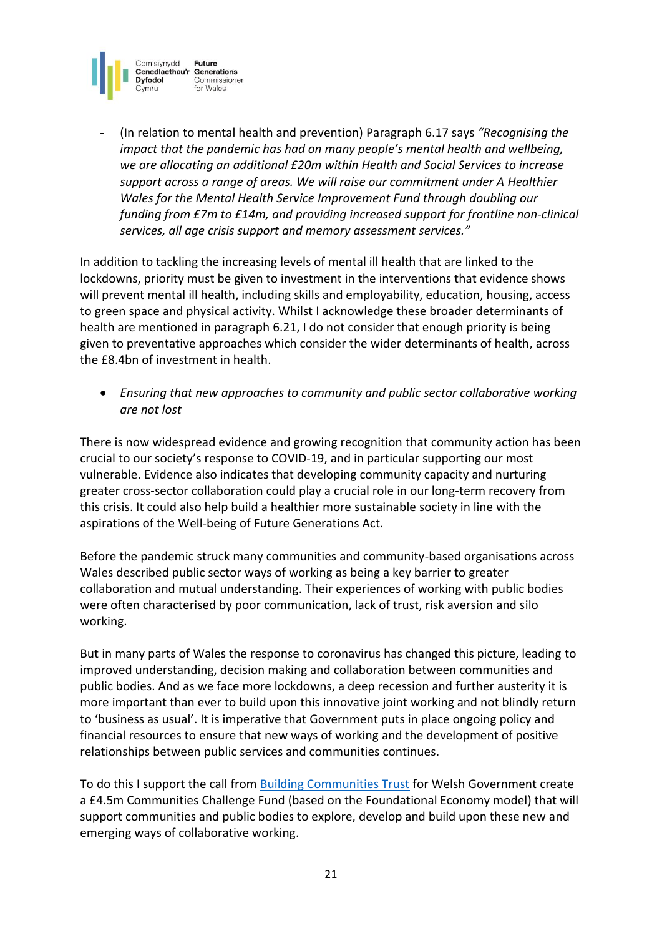

- (In relation to mental health and prevention) Paragraph 6.17 says *"Recognising the impact that the pandemic has had on many people's mental health and wellbeing, we are allocating an additional £20m within Health and Social Services to increase support across a range of areas. We will raise our commitment under A Healthier Wales for the Mental Health Service Improvement Fund through doubling our funding from £7m to £14m, and providing increased support for frontline non-clinical services, all age crisis support and memory assessment services."*

In addition to tackling the increasing levels of mental ill health that are linked to the lockdowns, priority must be given to investment in the interventions that evidence shows will prevent mental ill health, including skills and employability, education, housing, access to green space and physical activity. Whilst I acknowledge these broader determinants of health are mentioned in paragraph 6.21, I do not consider that enough priority is being given to preventative approaches which consider the wider determinants of health, across the £8.4bn of investment in health.

• *Ensuring that new approaches to community and public sector collaborative working are not lost*

There is now widespread evidence and growing recognition that community action has been crucial to our society's response to COVID-19, and in particular supporting our most vulnerable. Evidence also indicates that developing community capacity and nurturing greater cross-sector collaboration could play a crucial role in our long-term recovery from this crisis. It could also help build a healthier more sustainable society in line with the aspirations of the Well-being of Future Generations Act.

Before the pandemic struck many communities and community-based organisations across Wales described public sector ways of working as being a key barrier to greater collaboration and mutual understanding. Their experiences of working with public bodies were often characterised by poor communication, lack of trust, risk aversion and silo working.

But in many parts of Wales the response to coronavirus has changed this picture, leading to improved understanding, decision making and collaboration between communities and public bodies. And as we face more lockdowns, a deep recession and further austerity it is more important than ever to build upon this innovative joint working and not blindly return to 'business as usual'. It is imperative that Government puts in place ongoing policy and financial resources to ensure that new ways of working and the development of positive relationships between public services and communities continues.

To do this I support the call from [Building Communities Trust](http://www.bct.wales/uploads/resources/2020-11-24-44-1-building-stronger-welsh-commun.pdf) for Welsh Government create a £4.5m Communities Challenge Fund (based on the Foundational Economy model) that will support communities and public bodies to explore, develop and build upon these new and emerging ways of collaborative working.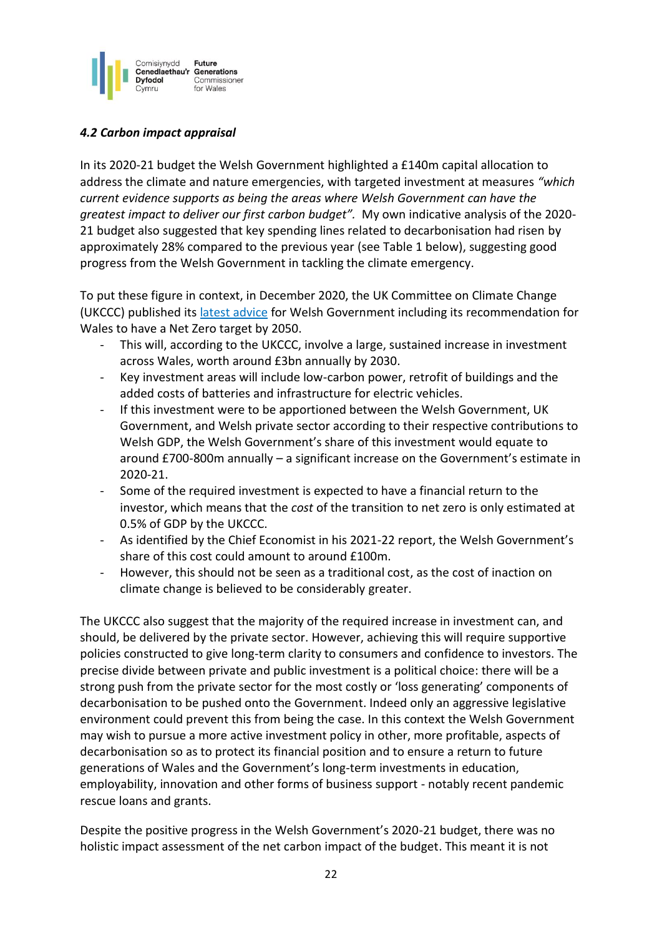

## *4.2 Carbon impact appraisal*

In its 2020-21 budget the Welsh Government highlighted a £140m capital allocation to address the climate and nature emergencies, with targeted investment at measures *"which current evidence supports as being the areas where Welsh Government can have the greatest impact to deliver our first carbon budget".* My own indicative analysis of the 2020- 21 budget also suggested that key spending lines related to decarbonisation had risen by approximately 28% compared to the previous year (see Table 1 below), suggesting good progress from the Welsh Government in tackling the climate emergency.

To put these figure in context, in December 2020, the UK Committee on Climate Change (UKCCC) published its [latest advice](https://www.theccc.org.uk/wp-content/uploads/2020/12/Advice-Report-The-path-to-a-Net-Zero-Wales.pdf) for Welsh Government including its recommendation for Wales to have a Net Zero target by 2050.

- This will, according to the UKCCC, involve a large, sustained increase in investment across Wales, worth around £3bn annually by 2030.
- Key investment areas will include low-carbon power, retrofit of buildings and the added costs of batteries and infrastructure for electric vehicles.
- If this investment were to be apportioned between the Welsh Government, UK Government, and Welsh private sector according to their respective contributions to Welsh GDP, the Welsh Government's share of this investment would equate to around £700-800m annually – a significant increase on the Government's estimate in 2020-21.
- Some of the required investment is expected to have a financial return to the investor, which means that the *cost* of the transition to net zero is only estimated at 0.5% of GDP by the UKCCC.
- As identified by the Chief Economist in his 2021-22 report, the Welsh Government's share of this cost could amount to around £100m.
- However, this should not be seen as a traditional cost, as the cost of inaction on climate change is believed to be considerably greater.

The UKCCC also suggest that the majority of the required increase in investment can, and should, be delivered by the private sector. However, achieving this will require supportive policies constructed to give long-term clarity to consumers and confidence to investors. The precise divide between private and public investment is a political choice: there will be a strong push from the private sector for the most costly or 'loss generating' components of decarbonisation to be pushed onto the Government. Indeed only an aggressive legislative environment could prevent this from being the case. In this context the Welsh Government may wish to pursue a more active investment policy in other, more profitable, aspects of decarbonisation so as to protect its financial position and to ensure a return to future generations of Wales and the Government's long-term investments in education, employability, innovation and other forms of business support - notably recent pandemic rescue loans and grants.

Despite the positive progress in the Welsh Government's 2020-21 budget, there was no holistic impact assessment of the net carbon impact of the budget. This meant it is not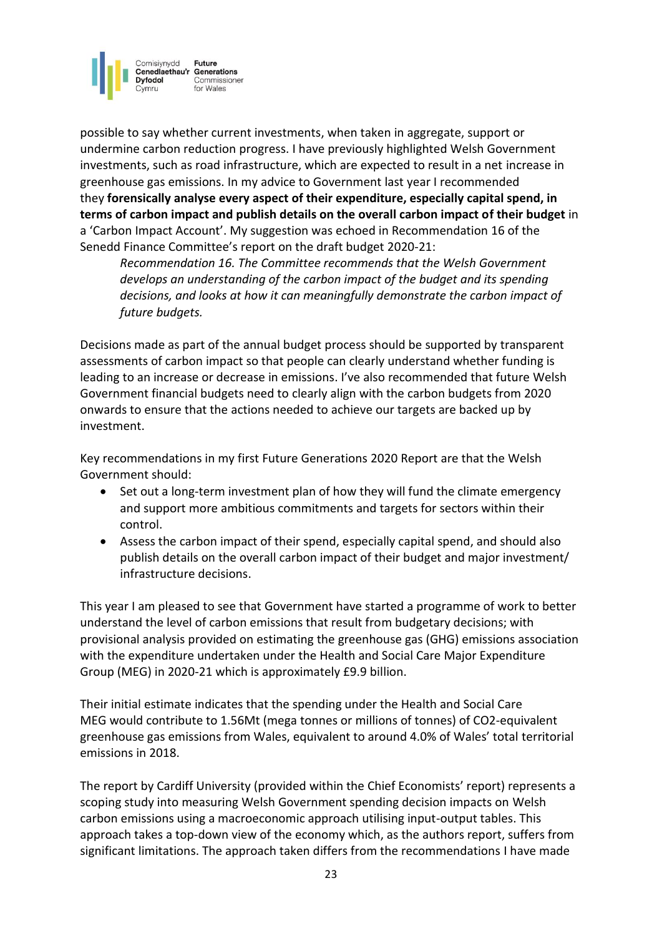

possible to say whether current investments, when taken in aggregate, support or undermine carbon reduction progress. I have previously highlighted Welsh Government investments, such as road infrastructure, which are expected to result in a net increase in greenhouse gas emissions. In my advice to Government last year I recommended they **forensically analyse every aspect of their expenditure, especially capital spend, in terms of carbon impact and publish details on the overall carbon impact of their budget** in a 'Carbon Impact Account'. My suggestion was echoed in Recommendation 16 of the Senedd Finance Committee's report on the draft budget 2020-21:

*Recommendation 16. The Committee recommends that the Welsh Government develops an understanding of the carbon impact of the budget and its spending decisions, and looks at how it can meaningfully demonstrate the carbon impact of future budgets.* 

Decisions made as part of the annual budget process should be supported by transparent assessments of carbon impact so that people can clearly understand whether funding is leading to an increase or decrease in emissions. I've also recommended that future Welsh Government financial budgets need to clearly align with the carbon budgets from 2020 onwards to ensure that the actions needed to achieve our targets are backed up by investment.

Key recommendations in my first Future Generations 2020 Report are that the Welsh Government should:

- Set out a long-term investment plan of how they will fund the climate emergency and support more ambitious commitments and targets for sectors within their control.
- Assess the carbon impact of their spend, especially capital spend, and should also publish details on the overall carbon impact of their budget and major investment/ infrastructure decisions.

This year I am pleased to see that Government have started a programme of work to better understand the level of carbon emissions that result from budgetary decisions; with provisional analysis provided on estimating the greenhouse gas (GHG) emissions association with the expenditure undertaken under the Health and Social Care Major Expenditure Group (MEG) in 2020-21 which is approximately £9.9 billion.

Their initial estimate indicates that the spending under the Health and Social Care MEG would contribute to 1.56Mt (mega tonnes or millions of tonnes) of CO2-equivalent greenhouse gas emissions from Wales, equivalent to around 4.0% of Wales' total territorial emissions in 2018.

The report by Cardiff University (provided within the Chief Economists' report) represents a scoping study into measuring Welsh Government spending decision impacts on Welsh carbon emissions using a macroeconomic approach utilising input-output tables. This approach takes a top-down view of the economy which, as the authors report, suffers from significant limitations. The approach taken differs from the recommendations I have made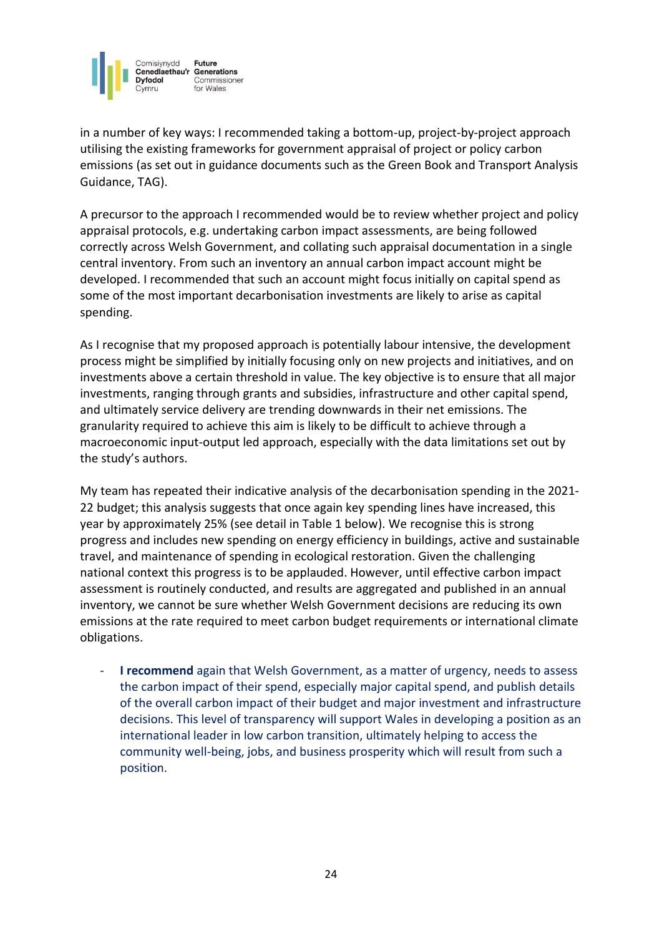

in a number of key ways: I recommended taking a bottom-up, project-by-project approach utilising the existing frameworks for government appraisal of project or policy carbon emissions (as set out in guidance documents such as the Green Book and Transport Analysis Guidance, TAG).

A precursor to the approach I recommended would be to review whether project and policy appraisal protocols, e.g. undertaking carbon impact assessments, are being followed correctly across Welsh Government, and collating such appraisal documentation in a single central inventory. From such an inventory an annual carbon impact account might be developed. I recommended that such an account might focus initially on capital spend as some of the most important decarbonisation investments are likely to arise as capital spending.

As I recognise that my proposed approach is potentially labour intensive, the development process might be simplified by initially focusing only on new projects and initiatives, and on investments above a certain threshold in value. The key objective is to ensure that all major investments, ranging through grants and subsidies, infrastructure and other capital spend, and ultimately service delivery are trending downwards in their net emissions. The granularity required to achieve this aim is likely to be difficult to achieve through a macroeconomic input-output led approach, especially with the data limitations set out by the study's authors.

My team has repeated their indicative analysis of the decarbonisation spending in the 2021- 22 budget; this analysis suggests that once again key spending lines have increased, this year by approximately 25% (see detail in Table 1 below). We recognise this is strong progress and includes new spending on energy efficiency in buildings, active and sustainable travel, and maintenance of spending in ecological restoration. Given the challenging national context this progress is to be applauded. However, until effective carbon impact assessment is routinely conducted, and results are aggregated and published in an annual inventory, we cannot be sure whether Welsh Government decisions are reducing its own emissions at the rate required to meet carbon budget requirements or international climate obligations.

- **I recommend** again that Welsh Government, as a matter of urgency, needs to assess the carbon impact of their spend, especially major capital spend, and publish details of the overall carbon impact of their budget and major investment and infrastructure decisions. This level of transparency will support Wales in developing a position as an international leader in low carbon transition, ultimately helping to access the community well-being, jobs, and business prosperity which will result from such a position.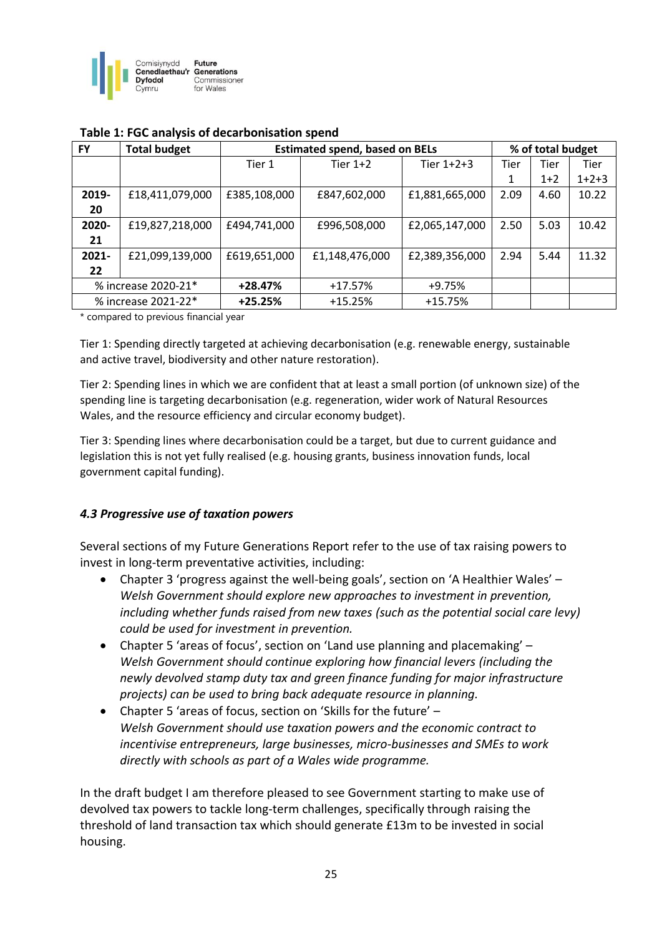

| <b>FY</b>           | <b>Total budget</b> | <b>Estimated spend, based on BELs</b> |                |                | % of total budget |       |         |
|---------------------|---------------------|---------------------------------------|----------------|----------------|-------------------|-------|---------|
|                     |                     | Tier 1                                | Tier $1+2$     | Tier $1+2+3$   | Tier              | Tier  | Tier    |
|                     |                     |                                       |                |                |                   | $1+2$ | $1+2+3$ |
| 2019-               | £18,411,079,000     | £385,108,000                          | £847,602,000   | £1,881,665,000 | 2.09              | 4.60  | 10.22   |
| 20                  |                     |                                       |                |                |                   |       |         |
| 2020-               | £19,827,218,000     | £494,741,000                          | £996,508,000   | £2,065,147,000 | 2.50              | 5.03  | 10.42   |
| 21                  |                     |                                       |                |                |                   |       |         |
| 2021-               | £21,099,139,000     | £619,651,000                          | £1,148,476,000 | £2,389,356,000 | 2.94              | 5.44  | 11.32   |
| 22                  |                     |                                       |                |                |                   |       |         |
| % increase 2020-21* |                     | $+28.47%$                             | $+17.57%$      | +9.75%         |                   |       |         |
| % increase 2021-22* |                     | $+25.25%$                             | $+15.25%$      | $+15.75%$      |                   |       |         |

#### **Table 1: FGC analysis of decarbonisation spend**

\* compared to previous financial year

Tier 1: Spending directly targeted at achieving decarbonisation (e.g. renewable energy, sustainable and active travel, biodiversity and other nature restoration).

Tier 2: Spending lines in which we are confident that at least a small portion (of unknown size) of the spending line is targeting decarbonisation (e.g. regeneration, wider work of Natural Resources Wales, and the resource efficiency and circular economy budget).

Tier 3: Spending lines where decarbonisation could be a target, but due to current guidance and legislation this is not yet fully realised (e.g. housing grants, business innovation funds, local government capital funding).

## *4.3 Progressive use of taxation powers*

Several sections of my Future Generations Report refer to the use of tax raising powers to invest in long-term preventative activities, including:

- Chapter 3 'progress against the well-being goals', section on 'A Healthier Wales' *Welsh Government should explore new approaches to investment in prevention, including whether funds raised from new taxes (such as the potential social care levy) could be used for investment in prevention.*
- Chapter 5 'areas of focus', section on 'Land use planning and placemaking' *Welsh Government should continue exploring how financial levers (including the newly devolved stamp duty tax and green finance funding for major infrastructure projects) can be used to bring back adequate resource in planning.*
- Chapter 5 'areas of focus, section on 'Skills for the future' *Welsh Government should use taxation powers and the economic contract to incentivise entrepreneurs, large businesses, micro-businesses and SMEs to work directly with schools as part of a Wales wide programme.*

In the draft budget I am therefore pleased to see Government starting to make use of devolved tax powers to tackle long-term challenges, specifically through raising the threshold of land transaction tax which should generate £13m to be invested in social housing.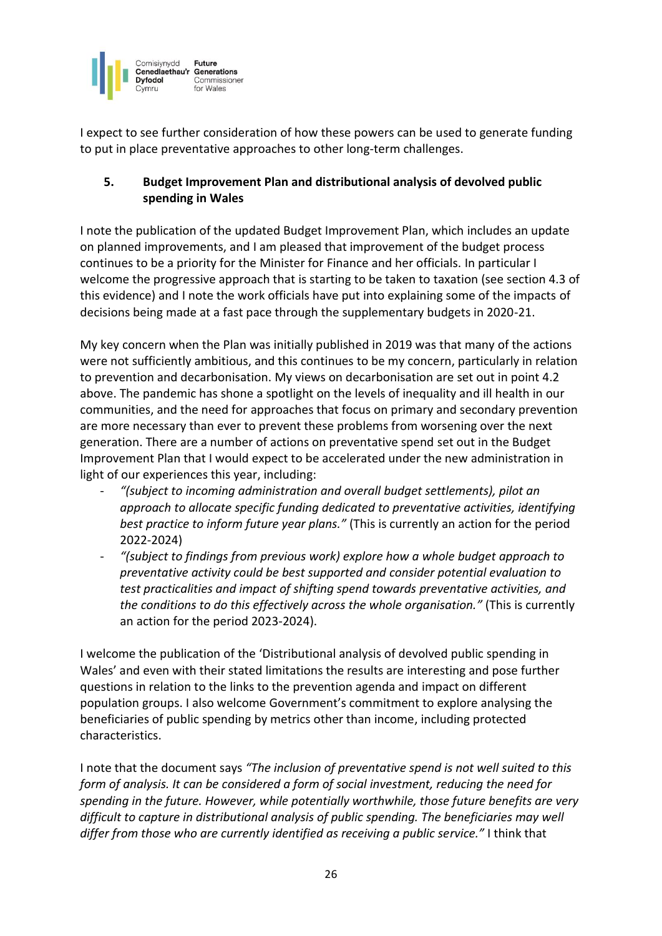

I expect to see further consideration of how these powers can be used to generate funding to put in place preventative approaches to other long-term challenges.

# **5. Budget Improvement Plan and distributional analysis of devolved public spending in Wales**

I note the publication of the updated Budget Improvement Plan, which includes an update on planned improvements, and I am pleased that improvement of the budget process continues to be a priority for the Minister for Finance and her officials. In particular I welcome the progressive approach that is starting to be taken to taxation (see section 4.3 of this evidence) and I note the work officials have put into explaining some of the impacts of decisions being made at a fast pace through the supplementary budgets in 2020-21.

My key concern when the Plan was initially published in 2019 was that many of the actions were not sufficiently ambitious, and this continues to be my concern, particularly in relation to prevention and decarbonisation. My views on decarbonisation are set out in point 4.2 above. The pandemic has shone a spotlight on the levels of inequality and ill health in our communities, and the need for approaches that focus on primary and secondary prevention are more necessary than ever to prevent these problems from worsening over the next generation. There are a number of actions on preventative spend set out in the Budget Improvement Plan that I would expect to be accelerated under the new administration in light of our experiences this year, including:

- *"(subject to incoming administration and overall budget settlements), pilot an approach to allocate specific funding dedicated to preventative activities, identifying best practice to inform future year plans."* (This is currently an action for the period 2022-2024)
- *"(subject to findings from previous work) explore how a whole budget approach to preventative activity could be best supported and consider potential evaluation to test practicalities and impact of shifting spend towards preventative activities, and the conditions to do this effectively across the whole organisation."* (This is currently an action for the period 2023-2024).

I welcome the publication of the 'Distributional analysis of devolved public spending in Wales' and even with their stated limitations the results are interesting and pose further questions in relation to the links to the prevention agenda and impact on different population groups. I also welcome Government's commitment to explore analysing the beneficiaries of public spending by metrics other than income, including protected characteristics.

I note that the document says *"The inclusion of preventative spend is not well suited to this form of analysis. It can be considered a form of social investment, reducing the need for spending in the future. However, while potentially worthwhile, those future benefits are very difficult to capture in distributional analysis of public spending. The beneficiaries may well differ from those who are currently identified as receiving a public service."* I think that